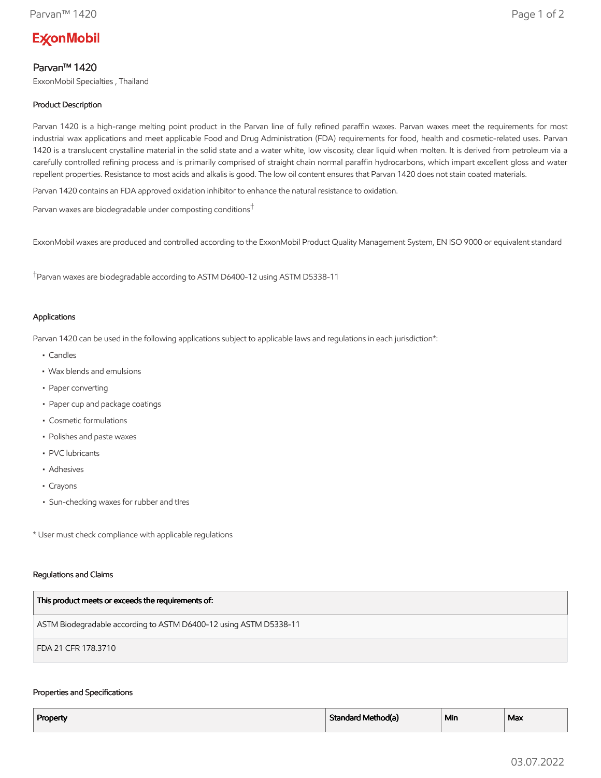# **ExconMobil**

## Parvan™ 1420

ExxonMobil Specialties , Thailand

## Product Description

Parvan 1420 is a high-range melting point product in the Parvan line of fully refined paraffin waxes. Parvan waxes meet the requirements for most industrial wax applications and meet applicable Food and Drug Administration (FDA) requirements for food, health and cosmetic-related uses. Parvan 1420 is a translucent crystalline material in the solid state and a water white, low viscosity, clear liquid when molten. It is derived from petroleum via a carefully controlled refining process and is primarily comprised of straight chain normal paraffin hydrocarbons, which impart excellent gloss and water repellent properties. Resistance to most acids and alkalis is good. The low oil content ensures that Parvan 1420 does not stain coated materials.

Parvan 1420 contains an FDA approved oxidation inhibitor to enhance the natural resistance to oxidation.

Parvan waxes are biodegradable under composting conditions†

ExxonMobil waxes are produced and controlled according to the ExxonMobil Product Quality Management System, EN ISO 9000 or equivalent standard

†Parvan waxes are biodegradable according to ASTM D6400-12 using ASTM D5338-11

#### Applications

Parvan 1420 can be used in the following applications subject to applicable laws and regulations in each jurisdiction\*:

- Candles
- Wax blends and emulsions
- Paper converting
- Paper cup and package coatings
- Cosmetic formulations
- Polishes and paste waxes
- PVC lubricants
- Adhesives
- Crayons
- Sun-checking waxes for rubber and tIres

\* User must check compliance with applicable regulations

#### Regulations and Claims

| This product meets or exceeds the requirements of:                |
|-------------------------------------------------------------------|
| ASTM Biodegradable according to ASTM D6400-12 using ASTM D5338-11 |
| FDA 21 CFR 178.3710                                               |

#### Properties and Specifications

| Property | Standard Method(a) | <sup>⊥</sup> Min | Max |
|----------|--------------------|------------------|-----|
|          |                    |                  |     |